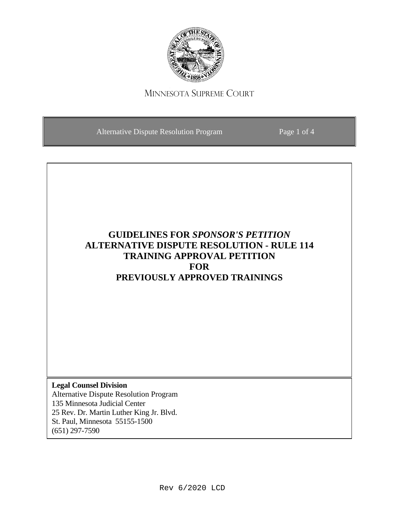

# MINNESOTA SUPREME COURT

Alternative Dispute Resolution Program Page 1 of 4

# **GUIDELINES FOR** *SPONSOR'S PETITION* **ALTERNATIVE DISPUTE RESOLUTION - RULE 114 TRAINING APPROVAL PETITION FOR PREVIOUSLY APPROVED TRAININGS**

**Legal Counsel Division** Alternative Dispute Resolution Program 135 Minnesota Judicial Center 25 Rev. Dr. Martin Luther King Jr. Blvd. St. Paul, Minnesota 55155-1500 (651) 297-7590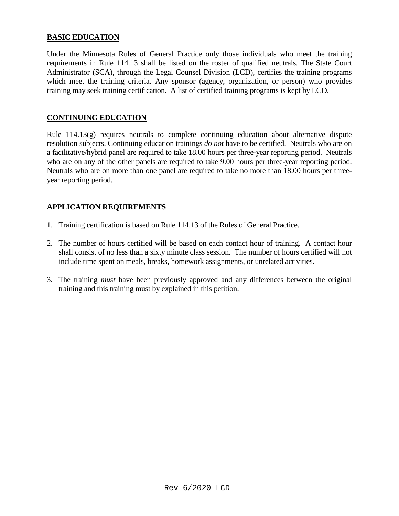## **BASIC EDUCATION**

Under the Minnesota Rules of General Practice only those individuals who meet the training requirements in Rule 114.13 shall be listed on the roster of qualified neutrals. The State Court Administrator (SCA), through the Legal Counsel Division (LCD), certifies the training programs which meet the training criteria. Any sponsor (agency, organization, or person) who provides training may seek training certification. A list of certified training programs is kept by LCD.

#### **CONTINUING EDUCATION**

Rule 114.13(g) requires neutrals to complete continuing education about alternative dispute resolution subjects. Continuing education trainings *do not* have to be certified. Neutrals who are on a facilitative/hybrid panel are required to take 18.00 hours per three-year reporting period. Neutrals who are on any of the other panels are required to take 9.00 hours per three-year reporting period. Neutrals who are on more than one panel are required to take no more than 18.00 hours per threeyear reporting period.

#### **APPLICATION REQUIREMENTS**

- 1. Training certification is based on Rule 114.13 of the Rules of General Practice.
- 2. The number of hours certified will be based on each contact hour of training. A contact hour shall consist of no less than a sixty minute class session. The number of hours certified will not include time spent on meals, breaks, homework assignments, or unrelated activities.
- 3. The training *must* have been previously approved and any differences between the original training and this training must by explained in this petition.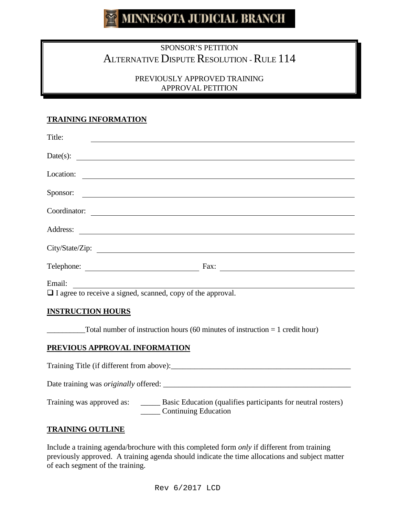# **MINNESOTA JUDICIAL BRANCH**

# SPONSOR'S PETITION ALTERNATIVE DISPUTE RESOLUTION - RULE 114

## PREVIOUSLY APPROVED TRAINING APPROVAL PETITION

## **TRAINING INFORMATION**

| Title:                                                             |                                                        |  |
|--------------------------------------------------------------------|--------------------------------------------------------|--|
| Date(s): $\qquad \qquad$                                           |                                                        |  |
| Location:                                                          |                                                        |  |
| Sponsor:                                                           |                                                        |  |
| Coordinator:                                                       |                                                        |  |
| Address:                                                           |                                                        |  |
|                                                                    |                                                        |  |
|                                                                    | Fax:<br><u> 1980 - Andrea State Barbara, poeta esp</u> |  |
| Email:                                                             |                                                        |  |
| $\Box$ I agree to receive a signed, scanned, copy of the approval. |                                                        |  |

#### **INSTRUCTION HOURS**

 $\text{\textendash}$  Total number of instruction hours (60 minutes of instruction = 1 credit hour)

#### **PREVIOUS APPROVAL INFORMATION**

Training Title (if different from above):\_\_\_\_\_\_\_\_\_\_\_\_\_\_\_\_\_\_\_\_\_\_\_\_\_\_\_\_\_\_\_\_\_\_\_\_\_\_\_\_\_\_\_\_\_\_

Date training was *originally* offered: \_\_\_\_\_\_\_\_\_\_\_\_\_\_\_\_\_\_\_\_\_\_\_\_\_\_\_\_\_\_\_\_\_\_\_\_\_\_\_\_\_\_\_\_\_\_\_\_

Training was approved as: \_\_\_\_\_\_ Basic Education (qualifies participants for neutral rosters) \_\_\_\_\_ Continuing Education

#### **TRAINING OUTLINE**

Include a training agenda/brochure with this completed form *only* if different from training previously approved. A training agenda should indicate the time allocations and subject matter of each segment of the training.